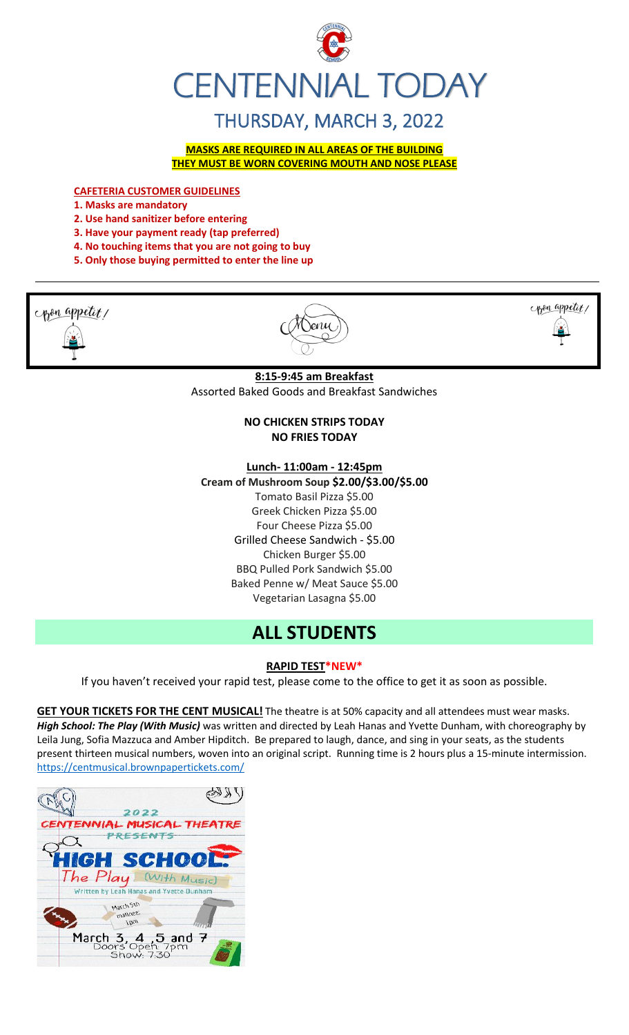

# THURSDAY, MARCH 3, 2022

**MASKS ARE REQUIRED IN ALL AREAS OF THE BUILDING THEY MUST BE WORN COVERING MOUTH AND NOSE PLEASE**

**CAFETERIA CUSTOMER GUIDELINES**

- **1. Masks are mandatory**
- **2. Use hand sanitizer before entering**
- **3. Have your payment ready (tap preferred)**
- **4. No touching items that you are not going to buy**
- **5. Only those buying permitted to enter the line up**

pon appetit!





#### **8:15-9:45 am Breakfast**

Assorted Baked Goods and Breakfast Sandwiches

#### **NO CHICKEN STRIPS TODAY NO FRIES TODAY**

#### **Lunch- 11:00am - 12:45pm**

**Cream of Mushroom Soup \$2.00/\$3.00/\$5.00**

Tomato Basil Pizza \$5.00 Greek Chicken Pizza \$5.00 Four Cheese Pizza \$5.00 Grilled Cheese Sandwich - \$5.00 Chicken Burger \$5.00 BBQ Pulled Pork Sandwich \$5.00 Baked Penne w/ Meat Sauce \$5.00 Vegetarian Lasagna \$5.00

# **ALL STUDENTS**

#### **RAPID TEST\*NEW\***

If you haven't received your rapid test, please come to the office to get it as soon as possible.

**GET YOUR TICKETS FOR THE CENT MUSICAL!** The theatre is at 50% capacity and all attendees must wear masks. *High School: The Play (With Music)* was written and directed by Leah Hanas and Yvette Dunham, with choreography by Leila Jung, Sofia Mazzuca and Amber Hipditch. Be prepared to laugh, dance, and sing in your seats, as the students present thirteen musical numbers, woven into an original script. Running time is 2 hours plus a 15-minute intermission. <https://centmusical.brownpapertickets.com/>

| 2022                                                 |  |
|------------------------------------------------------|--|
| CENTENNIAL MUSICAL THEATRE                           |  |
| <b>PRESENTS</b>                                      |  |
|                                                      |  |
| <b>HIGH SCHOOL:</b>                                  |  |
| The Play (With Music)                                |  |
| Written by Leah Hanas and Yvette Dunham              |  |
|                                                      |  |
| March Sth<br>matinee:                                |  |
| <b>Jbw</b>                                           |  |
|                                                      |  |
| March 3, 4, 5 and 7<br>Doors Open: 7pm<br>Show: 7:30 |  |
|                                                      |  |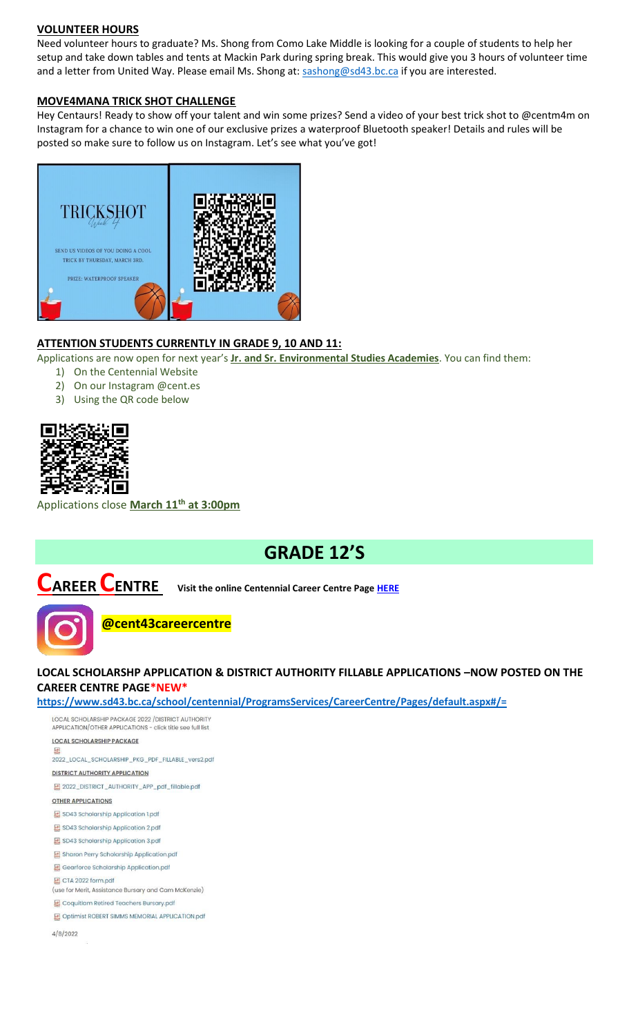#### **VOLUNTEER HOURS**

Need volunteer hours to graduate? Ms. Shong from Como Lake Middle is looking for a couple of students to help her setup and take down tables and tents at Mackin Park during spring break. This would give you 3 hours of volunteer time and a letter from United Way. Please email Ms. Shong at: [sashong@sd43.bc.ca](mailto:sashong@sd43.bc.ca) if you are interested.

#### **MOVE4MANA TRICK SHOT CHALLENGE**

Hey Centaurs! Ready to show off your talent and win some prizes? Send a video of your best trick shot to @centm4m on Instagram for a chance to win one of our exclusive prizes a waterproof Bluetooth speaker! Details and rules will be posted so make sure to follow us on Instagram. Let's see what you've got!



### **ATTENTION STUDENTS CURRENTLY IN GRADE 9, 10 AND 11:**

Applications are now open for next year's **Jr. and Sr. Environmental Studies Academies**. You can find them:

- 1) On the Centennial Website
- 2) On our Instagram @cent.es
- 3) Using the QR code below



Applications close **March 11th at 3:00pm**

# **GRADE 12'S**

**CAREER CENTRE Visit the online Centennial Career Centre Page [HERE](https://www.sd43.bc.ca/school/centennial/ProgramsServices/CareerCentre/experiences/Pages/default.aspx#/=)**



## **@cent43careercentre**

## **LOCAL SCHOLARSHP APPLICATION & DISTRICT AUTHORITY FILLABLE APPLICATIONS –NOW POSTED ON THE CAREER CENTRE PAGE\*NEW\***

**[https://www.sd43.bc.ca/school/centennial/ProgramsServices/CareerCentre/Pages/default.aspx#/=](https://www.sd43.bc.ca/school/centennial/ProgramsServices/CareerCentre/Pages/default.aspx%23/=)**

LOCAL SCHOLARSHIP PACKAGE 2022 / DISTRICT AUTHORITY APPLICATION/OTHER APPLICATIONS - click title see full list **LOCAL SCHOLARSHIP PACKAGE** pdf 2022\_LOCAL\_SCHOLARSHIP\_PKG\_PDF\_FILLABLE\_vers2.pdf **DISTRICT AUTHORITY APPLICATION** 图 2022\_DISTRICT\_AUTHORITY\_APP\_pdf\_fillable.pdf **OTHER APPLICATIONS** SD43 Scholarship Application 1.pdf SD43 Scholarship Application 2.pdf SD43 Scholarship Application 3.pdf Sharon Perry Scholarship Application.pdf Gearforce Scholarship Application.pdf CTA 2022 form.pdf (use for Merit, Assistance Bursary and Cam McKenzie) Coquitlam Retired Teachers Bursary.pdf Optimist ROBERT SIMMS MEMORIAL APPLICATION.pdf  $4/8/2022$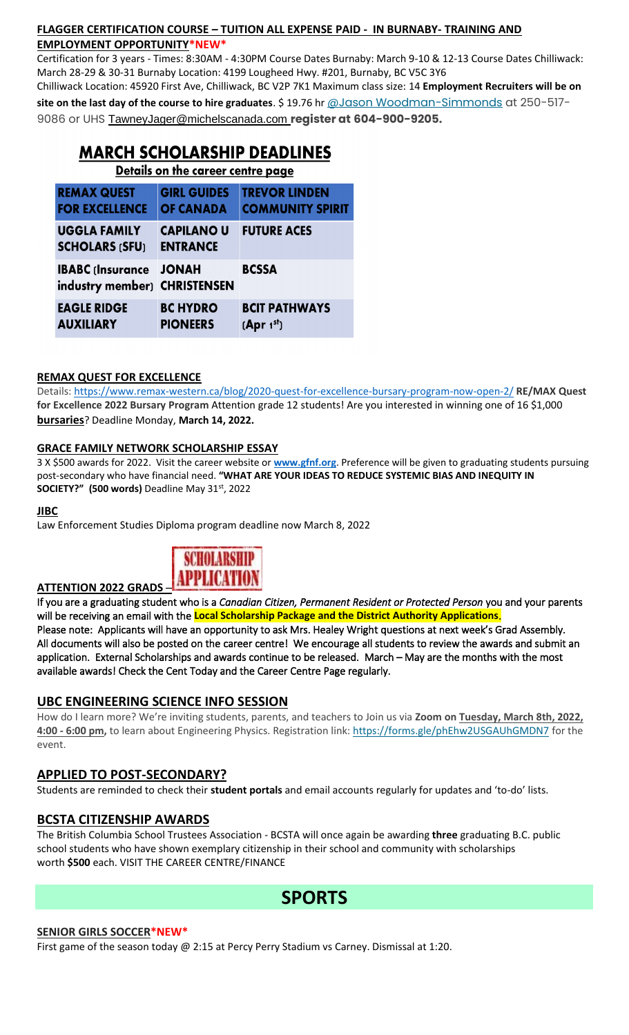## **FLAGGER CERTIFICATION COURSE – TUITION ALL EXPENSE PAID - IN BURNABY- TRAINING AND EMPLOYMENT OPPORTUNITY\*NEW\***

Certification for 3 years - Times: 8:30AM - 4:30PM Course Dates Burnaby: March 9-10 & 12-13 Course Dates Chilliwack: March 28-29 & 30-31 Burnaby Location: 4199 Lougheed Hwy. #201, Burnaby, BC V5C 3Y6

Chilliwack Location: 45920 First Ave, Chilliwack, BC V2P 7K1 Maximum class size: 14 **Employment Recruiters will be on site on the last day of the course to hire graduates**. \$ 19.76 hr [@Jason Woodman-Simmonds](mailto:JasonWoodman-Simmonds@michelscanada.com) at 250-517- 9086 or UHS [TawneyJager@michelscanada.com](mailto:TawneyJager@michelscanada.com) **register at 604-900-9205.**

## **MARCH SCHOLARSHIP DEADLINES**

Details on the career centre page

| <b>REMAX QUEST</b>            | <b>GIRL GUIDES</b> | <b>TREVOR LINDEN</b>    |
|-------------------------------|--------------------|-------------------------|
| <b>FOR EXCELLENCE</b>         | <b>OF CANADA</b>   | <b>COMMUNITY SPIRIT</b> |
| <b>UGGLA FAMILY</b>           | <b>CAPILANO U</b>  | <b>FUTURE ACES</b>      |
| <b>SCHOLARS (SFU)</b>         | <b>ENTRANCE</b>    |                         |
| <b>IBABC (Insurance JONAH</b> |                    | <b>BCSSA</b>            |
| industry member) CHRISTENSEN  |                    |                         |
| <b>EAGLE RIDGE</b>            | <b>BC HYDRO</b>    | <b>BCIT PATHWAYS</b>    |
| <b>AUXILIARY</b>              | <b>PIONEERS</b>    | (Apr 1 <sup>st</sup> )  |

## **REMAX QUEST FOR EXCELLENCE**

Details:<https://www.remax-western.ca/blog/2020-quest-for-excellence-bursary-program-now-open-2/> **RE/MAX Quest for Excellence 2022 Bursary Program** Attention grade 12 students! Are you interested in winning one of 16 \$1,000 **bursaries**? Deadline Monday, **March 14, 2022.** 

### **GRACE FAMILY NETWORK SCHOLARSHIP ESSAY**

3 X \$500 awards for 2022. Visit the career website or **[www.gfnf.org](http://www.gfnf.org/)**. Preference will be given to graduating students pursuing post-secondary who have financial need. **"WHAT ARE YOUR IDEAS TO REDUCE SYSTEMIC BIAS AND INEQUITY IN SOCIETY?" (500 words)** Deadline May 31st, 2022

#### **JIBC**

Law Enforcement Studies Diploma program deadline now March 8, 2022



If you are a graduating student who is a *Canadian Citizen, Permanent Resident or Protected Person* you and your parents will be receiving an email with the **Local Scholarship Package and the District Authority Applications**. Please note: Applicants will have an opportunity to ask Mrs. Healey Wright questions at next week's Grad Assembly. All documents will also be posted on the career centre! We encourage all students to review the awards and submit an application. External Scholarships and awards continue to be released. March – May are the months with the most available awards! Check the Cent Today and the Career Centre Page regularly.

## **UBC ENGINEERING SCIENCE INFO SESSION**

How do I learn more? We're inviting students, parents, and teachers to Join us via **Zoom on Tuesday, March 8th, 2022, 4:00 - 6:00 pm,** to learn about Engineering Physics. Registration link: <https://forms.gle/phEhw2USGAUhGMDN7> for the event.

## **APPLIED TO POST-SECONDARY?**

Students are reminded to check their **student portals** and email accounts regularly for updates and 'to-do' lists.

## **BCSTA CITIZENSHIP AWARDS**

The British Columbia School Trustees Association - BCSTA will once again be awarding **three** graduating B.C. public school students who have shown exemplary citizenship in their school and community with scholarships worth **\$500** each. VISIT THE CAREER CENTRE/FINANCE



#### **SENIOR GIRLS SOCCER\*NEW\***

First game of the season today @ 2:15 at Percy Perry Stadium vs Carney. Dismissal at 1:20.